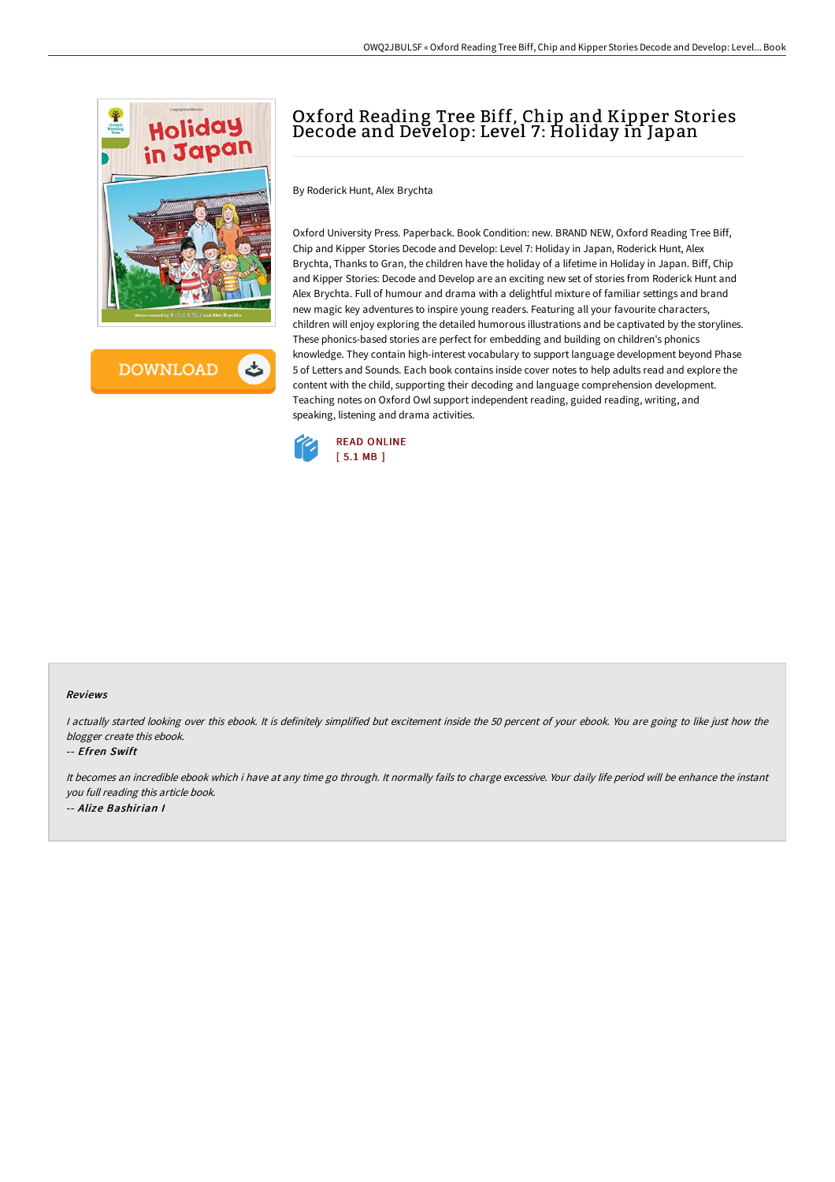

**DOWNLOAD** 

# Oxford Reading Tree Biff, Chip and Kipper Stories Decode and Develop: Level 7: Holiday in Japan

By Roderick Hunt, Alex Brychta

Oxford University Press. Paperback. Book Condition: new. BRAND NEW, Oxford Reading Tree Biff, Chip and Kipper Stories Decode and Develop: Level 7: Holiday in Japan, Roderick Hunt, Alex Brychta, Thanks to Gran, the children have the holiday of a lifetime in Holiday in Japan. Biff, Chip and Kipper Stories: Decode and Develop are an exciting new set of stories from Roderick Hunt and Alex Brychta. Full of humour and drama with a delightful mixture of familiar settings and brand new magic key adventures to inspire young readers. Featuring all your favourite characters, children will enjoy exploring the detailed humorous illustrations and be captivated by the storylines. These phonics-based stories are perfect for embedding and building on children's phonics knowledge. They contain high-interest vocabulary to support language development beyond Phase 5 of Letters and Sounds. Each book contains inside cover notes to help adults read and explore the content with the child, supporting their decoding and language comprehension development. Teaching notes on Oxford Owl support independent reading, guided reading, writing, and speaking, listening and drama activities.



#### Reviews

I actually started looking over this ebook. It is definitely simplified but excitement inside the 50 percent of your ebook. You are going to like just how the blogger create this ebook.

#### -- Efren Swift

It becomes an incredible ebook which i have at any time go through. It normally fails to charge excessive. Your daily life period will be enhance the instant you full reading this article book. -- Alize Bashirian I